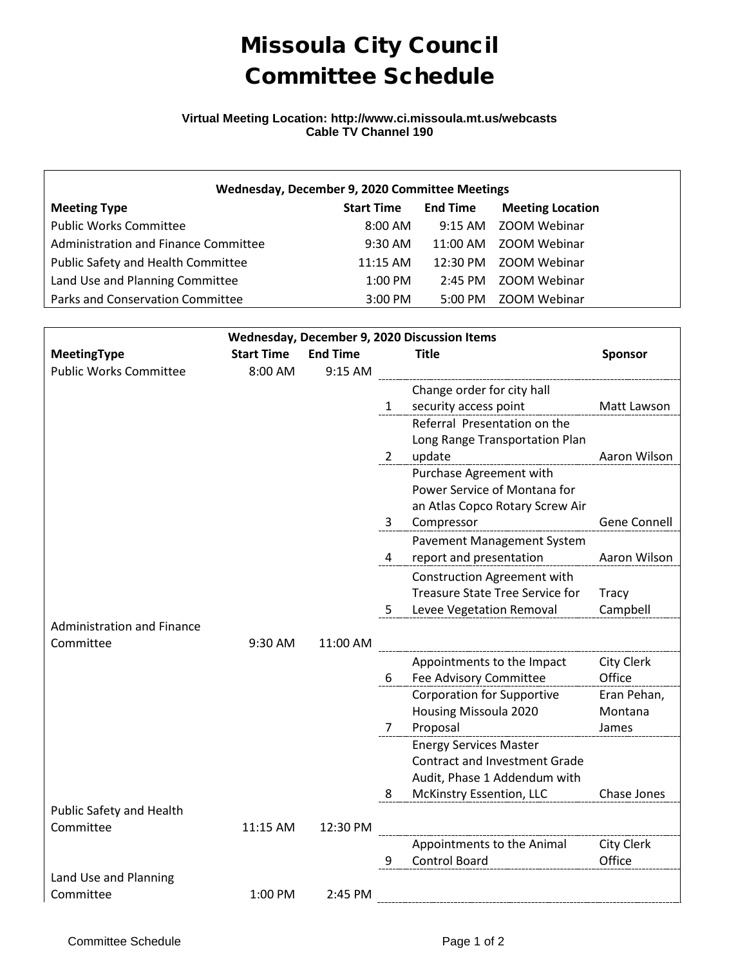## Missoula City Council Committee Schedule

## **Virtual Meeting Location: http://www.ci.missoula.mt.us/webcasts Cable TV Channel 190**

| Wednesday, December 9, 2020 Committee Meetings |                   |                   |                         |  |  |  |  |  |
|------------------------------------------------|-------------------|-------------------|-------------------------|--|--|--|--|--|
| <b>Meeting Type</b>                            | <b>Start Time</b> | <b>End Time</b>   | <b>Meeting Location</b> |  |  |  |  |  |
| <b>Public Works Committee</b>                  | $8:00 \text{ AM}$ |                   | 9:15 AM ZOOM Webinar    |  |  |  |  |  |
| Administration and Finance Committee           | $9:30$ AM         |                   | 11:00 AM 700M Webinar   |  |  |  |  |  |
| Public Safety and Health Committee             | 11:15 AM          |                   | 12:30 PM ZOOM Webinar   |  |  |  |  |  |
| Land Use and Planning Committee                | $1:00$ PM         | $2:45$ PM         | ZOOM Webinar            |  |  |  |  |  |
| Parks and Conservation Committee               | 3:00 PM           | $5:00 \text{ PM}$ | ZOOM Webinar            |  |  |  |  |  |

| Wednesday, December 9, 2020 Discussion Items |                   |                 |                       |                                                    |              |  |  |  |
|----------------------------------------------|-------------------|-----------------|-----------------------|----------------------------------------------------|--------------|--|--|--|
| MeetingType                                  | <b>Start Time</b> | <b>End Time</b> | <b>Title</b>          |                                                    | Sponsor      |  |  |  |
| <b>Public Works Committee</b>                | 8:00 AM           | 9:15 AM         |                       |                                                    |              |  |  |  |
|                                              |                   |                 |                       | Change order for city hall                         |              |  |  |  |
|                                              |                   |                 | $1 \quad$             | security access point                              | Matt Lawson  |  |  |  |
|                                              |                   |                 |                       | Referral Presentation on the                       |              |  |  |  |
|                                              |                   |                 |                       | Long Range Transportation Plan                     |              |  |  |  |
|                                              |                   |                 | $\mathbf{2}^{\prime}$ | update                                             | Aaron Wilson |  |  |  |
|                                              |                   |                 |                       | Purchase Agreement with                            |              |  |  |  |
|                                              |                   |                 |                       | Power Service of Montana for                       |              |  |  |  |
|                                              |                   |                 |                       | an Atlas Copco Rotary Screw Air                    |              |  |  |  |
|                                              |                   |                 | 3                     | Compressor                                         | Gene Connell |  |  |  |
|                                              |                   |                 |                       | Pavement Management System                         |              |  |  |  |
|                                              |                   |                 | 4                     | report and presentation                            | Aaron Wilson |  |  |  |
|                                              |                   |                 |                       | <b>Construction Agreement with</b>                 |              |  |  |  |
|                                              |                   |                 |                       | <b>Treasure State Tree Service for</b>             | <b>Tracy</b> |  |  |  |
|                                              |                   |                 | 5.                    | Levee Vegetation Removal                           | Campbell     |  |  |  |
| <b>Administration and Finance</b>            |                   |                 |                       |                                                    |              |  |  |  |
| Committee                                    | 9:30 AM           | 11:00 AM        |                       |                                                    |              |  |  |  |
|                                              |                   |                 |                       | Appointments to the Impact                         | City Clerk   |  |  |  |
|                                              |                   |                 | 6                     | Fee Advisory Committee                             | Office       |  |  |  |
|                                              |                   |                 |                       | <b>Corporation for Supportive</b>                  | Eran Pehan,  |  |  |  |
|                                              |                   |                 |                       | Housing Missoula 2020                              | Montana      |  |  |  |
|                                              |                   |                 | $\overline{7}$        | Proposal                                           | James        |  |  |  |
|                                              |                   |                 |                       | <b>Energy Services Master</b>                      |              |  |  |  |
|                                              |                   |                 |                       | <b>Contract and Investment Grade</b>               |              |  |  |  |
|                                              |                   |                 |                       | Audit, Phase 1 Addendum with                       |              |  |  |  |
|                                              |                   |                 | 8                     | McKinstry Essention, LLC                           | Chase Jones  |  |  |  |
| Public Safety and Health<br>Committee        | 11:15 AM          | 12:30 PM        |                       |                                                    |              |  |  |  |
|                                              |                   |                 |                       |                                                    | City Clerk   |  |  |  |
|                                              |                   |                 | 9                     | Appointments to the Animal<br><b>Control Board</b> | Office       |  |  |  |
| Land Use and Planning                        |                   |                 |                       |                                                    |              |  |  |  |
| Committee                                    | 1:00 PM           | 2:45 PM         |                       |                                                    |              |  |  |  |
|                                              |                   |                 |                       |                                                    |              |  |  |  |